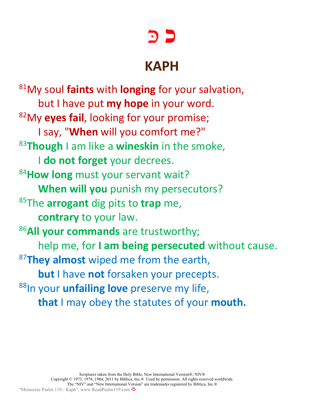## **כ** כּ

## **KAPH**

81My soul **faints** with **longing** for your salvation, but I have put **my hope** in your word. 82My **eyes fail**, looking for your promise; I say, "**When** will you comfort me?" <sup>83</sup>**Though** I am like a **wineskin** in the smoke, I **do not forget** your decrees. <sup>84</sup>**How long** must your servant wait? **When will you** punish my persecutors? 85The **arrogant** dig pits to **trap** me, **contrary** to your law. <sup>86</sup>**All your commands** are trustworthy; help me, for **I am being persecuted** without cause. <sup>87</sup>**They almost** wiped me from the earth, **but** I have **not** forsaken your precepts. 88In your **unfailing love** preserve my life, **that** I may obey the statutes of your **mouth.**